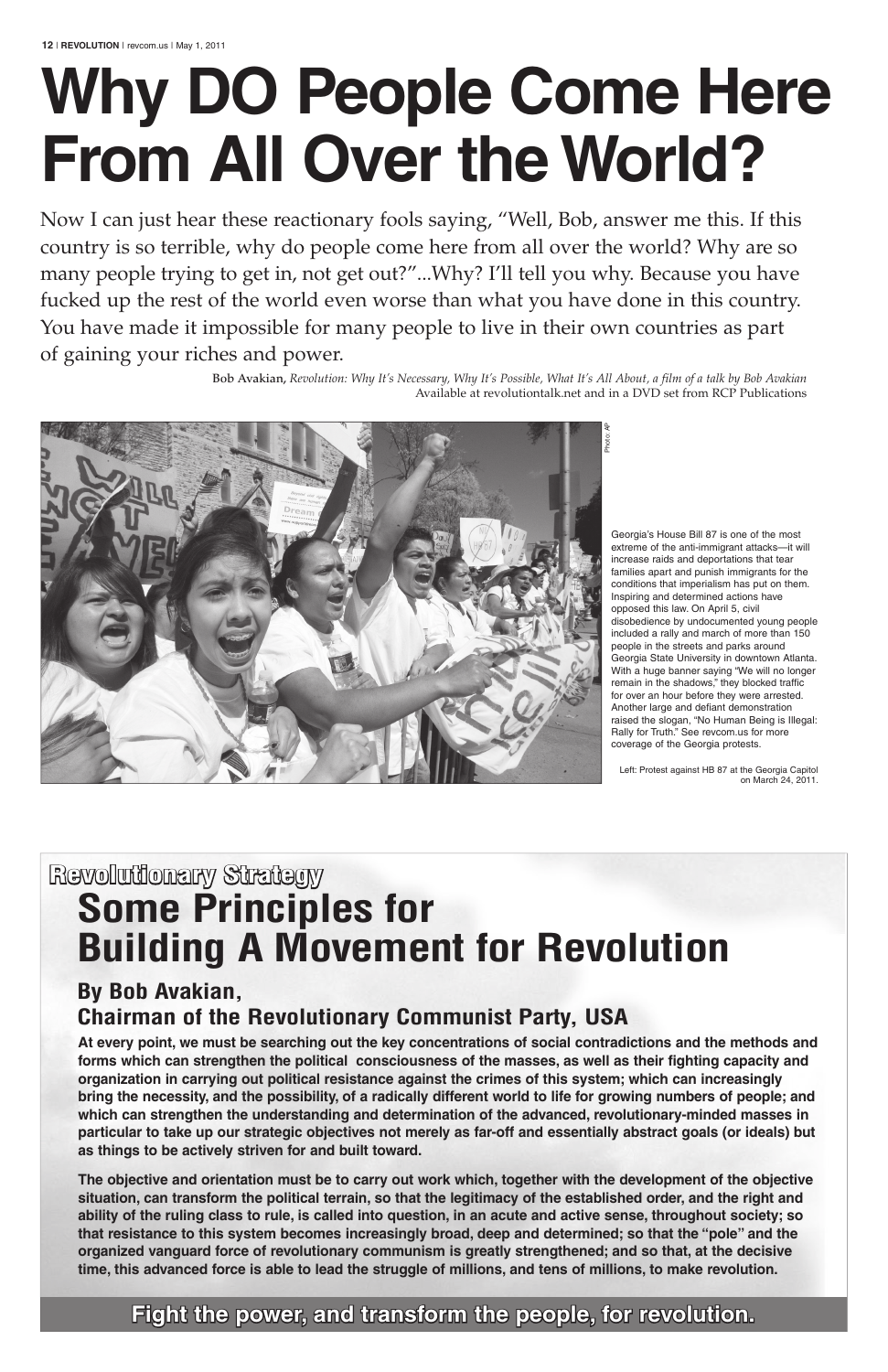Now I can just hear these reactionary fools saying, "Well, Bob, answer me this. If this country is so terrible, why do people come here from all over the world? Why are so many people trying to get in, not get out?"...Why? I'll tell you why. Because you have fucked up the rest of the world even worse than what you have done in this country. You have made it impossible for many people to live in their own countries as part of gaining your riches and power.

> Bob Avakian, *Revolution: Why It's Necessary, Why It's Possible, What It's All About, a film of a talk by Bob Avakian* Available at revolutiontalk.net and in a DVD set from RCP Publications

# **Why Do People Come Here From All over the World?**

## **Revolutionary Strategy Some Principles for Building A Movement for Revolution**

**By Bob Avakian,** 

### **Chairman of the Revolutionary Communist Party, USA**

 **At every point, we must be searching out the key concentrations of social contradictions and the methods and forms which can strengthen the political consciousness of the masses, as well as their fighting capacity and organization in carrying out political resistance against the crimes of this system; which can increasingly bring the necessity, and the possibility, of a radically different world to life for growing numbers of people; and which can strengthen the understanding and determination of the advanced, revolutionary-minded masses in particular to take up our strategic objectives not merely as far-off and essentially abstract goals (or ideals) but as things to be actively striven for and built toward.**

**the objective and orientation must be to carry out work which, together with the development of the objective situation, can transform the political terrain, so that the legitimacy of the established order, and the right and ability of the ruling class to rule, is called into question, in an acute and active sense, throughout society; so that resistance to this system becomes increasingly broad, deep and determined; so that the "pole" and the organized vanguard force of revolutionary communism is greatly strengthened; and so that, at the decisive time, this advanced force is able to lead the struggle of millions, and tens of millions, to make revolution.**

#### **Fight the power, and transform the people, for revolution.**

Georgia's House Bill 87 is one of the most extreme of the anti-immigrant attacks—it will increase raids and deportations that tear families apart and punish immigrants for the conditions that imperialism has put on them. Inspiring and determined actions have opposed this law. On April 5, civil disobedience by undocumented young people included a rally and march of more than 150 people in the streets and parks around Georgia State University in downtown Atlanta. With a huge banner saying "We will no longer remain in the shadows," they blocked traffic for over an hour before they were arrested. Another large and defiant demonstration raised the slogan, "No Human Being is Illegal: Rally for Truth." See revcom.us for more coverage of the Georgia protests.

Left: Protest against HB 87 at the Georgia Capitol on March 24, 2011.